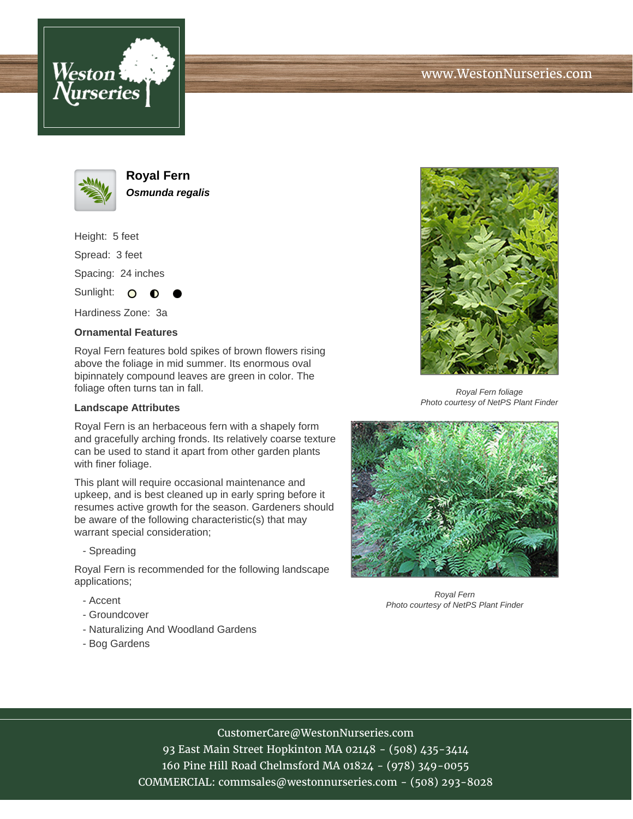



**Royal Fern Osmunda regalis**

Height: 5 feet Spread: 3 feet Spacing: 24 inches

Sunlight:  $\mathbf{O}$ 

Hardiness Zone: 3a

## **Ornamental Features**

Royal Fern features bold spikes of brown flowers rising above the foliage in mid summer. Its enormous oval bipinnately compound leaves are green in color. The foliage often turns tan in fall.

## **Landscape Attributes**

Royal Fern is an herbaceous fern with a shapely form and gracefully arching fronds. Its relatively coarse texture can be used to stand it apart from other garden plants with finer foliage.

This plant will require occasional maintenance and upkeep, and is best cleaned up in early spring before it resumes active growth for the season. Gardeners should be aware of the following characteristic(s) that may warrant special consideration;

- Spreading

Royal Fern is recommended for the following landscape applications;

- Accent
- Groundcover
- Naturalizing And Woodland Gardens
- Bog Gardens



Royal Fern foliage Photo courtesy of NetPS Plant Finder



Royal Fern Photo courtesy of NetPS Plant Finder

## CustomerCare@WestonNurseries.com

93 East Main Street Hopkinton MA 02148 - (508) 435-3414 160 Pine Hill Road Chelmsford MA 01824 - (978) 349-0055 COMMERCIAL: commsales@westonnurseries.com - (508) 293-8028